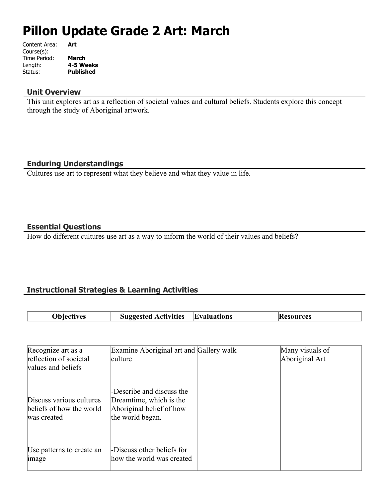# **Pillon Update Grade 2 Art: March**

| Content Area: | Art              |
|---------------|------------------|
| Course(s):    |                  |
| Time Period:  | <b>March</b>     |
| Length:       | 4-5 Weeks        |
| Status:       | <b>Published</b> |
|               |                  |

#### **Unit Overview**

This unit explores art as a reflection of societal values and cultural beliefs. Students explore this concept through the study of Aboriginal artwork.

# **Enduring Understandings**

Cultures use art to represent what they believe and what they value in life.

# **Essential Questions**

How do different cultures use art as a way to inform the world of their values and beliefs?

# **Instructional Strategies & Learning Activities**

| Obiectives | <b>Suggested Activities</b> | <b>Evaluations</b> | <b>Resources</b> |
|------------|-----------------------------|--------------------|------------------|

| Recognize art as a                                                  | Examine Aboriginal art and Gallery walk                                                              | Many visuals of |
|---------------------------------------------------------------------|------------------------------------------------------------------------------------------------------|-----------------|
| reflection of societal                                              | culture                                                                                              | Aboriginal Art  |
| values and beliefs                                                  |                                                                                                      |                 |
| Discuss various cultures<br>beliefs of how the world<br>was created | -Describe and discuss the<br>Dreamtime, which is the<br>Aboriginal belief of how<br>the world began. |                 |
| Use patterns to create an<br>image                                  | -Discuss other beliefs for<br>how the world was created                                              |                 |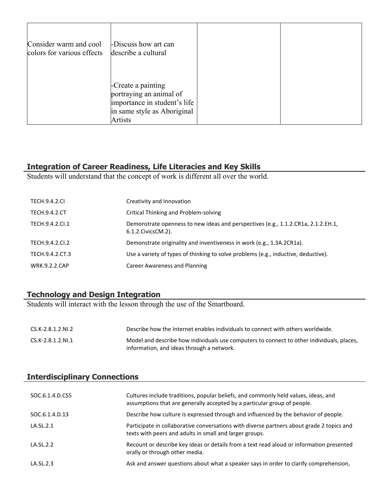| Consider warm and cool<br>colors for various effects | -Discuss how art can<br>describe a cultural                                                                             |  |
|------------------------------------------------------|-------------------------------------------------------------------------------------------------------------------------|--|
|                                                      | -Create a painting<br>portraying an animal of<br>importance in student's life<br>in same style as Aboriginal<br>Artists |  |

# **Integration of Career Readiness, Life Literacies and Key Skills**

Students will understand that the concept of work is different all over the world.

| <b>TECH.9.4.2.CL</b> | Creativity and Innovation                                                                                  |
|----------------------|------------------------------------------------------------------------------------------------------------|
| <b>TECH.9.4.2.CT</b> | <b>Critical Thinking and Problem-solving</b>                                                               |
| TECH.9.4.2.CI.1      | Demonstrate openness to new ideas and perspectives (e.g., 1.1.2.CR1a, 2.1.2.EH.1,<br>6.1.2. Civics CM. 2). |
| TECH.9.4.2.CI.2      | Demonstrate originality and inventiveness in work (e.g., 1.3A.2CR1a).                                      |
| TECH.9.4.2.CT.3      | Use a variety of types of thinking to solve problems (e.g., inductive, deductive).                         |
| <b>WRK.9.2.2.CAP</b> | Career Awareness and Planning                                                                              |

# **Technology and Design Integration**

Students will interact with the lesson through the use of the Smartboard.

| CS.K-2.8.1.2.NI.2 | Describe how the Internet enables individuals to connect with others worldwide.                                                        |
|-------------------|----------------------------------------------------------------------------------------------------------------------------------------|
| CS.K-2.8.1.2.NI.1 | Model and describe how individuals use computers to connect to other individuals, places,<br>information, and ideas through a network. |

# **Interdisciplinary Connections**

| SOC.6.1.4.D.CS5 | Cultures include traditions, popular beliefs, and commonly held values, ideas, and<br>assumptions that are generally accepted by a particular group of people. |
|-----------------|----------------------------------------------------------------------------------------------------------------------------------------------------------------|
| SOC.6.1.4.D.13  | Describe how culture is expressed through and influenced by the behavior of people.                                                                            |
| LA.SL.2.1       | Participate in collaborative conversations with diverse partners about grade 2 topics and<br>texts with peers and adults in small and larger groups.           |
| LA.SL.2.2       | Recount or describe key ideas or details from a text read aloud or information presented<br>orally or through other media.                                     |
| LA.SL.2.3       | Ask and answer questions about what a speaker says in order to clarify comprehension,                                                                          |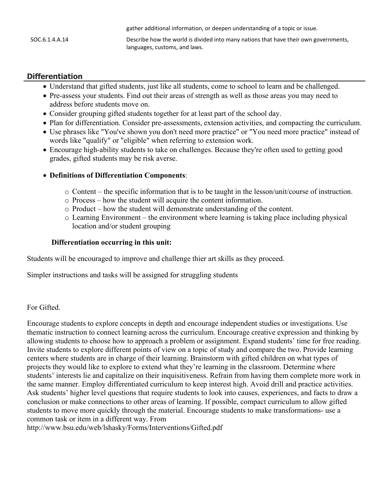|                | gather additional information, or deepen understanding of a topic or issue.                                           |
|----------------|-----------------------------------------------------------------------------------------------------------------------|
| SOC.6.1.4.A.14 | Describe how the world is divided into many nations that have their own governments,<br>languages, customs, and laws. |

## **Differentiation**

- Understand that gifted students, just like all students, come to school to learn and be challenged.
- Pre-assess your students. Find out their areas of strength as well as those areas you may need to address before students move on.
- Consider grouping gifted students together for at least part of the school day.
- Plan for differentiation. Consider pre-assessments, extension activities, and compacting the curriculum.
- Use phrases like "You've shown you don't need more practice" or "You need more practice" instead of words like "qualify" or "eligible" when referring to extension work.
- Encourage high-ability students to take on challenges. Because they're often used to getting good grades, gifted students may be risk averse.

#### **Definitions of Differentiation Components**:

- o Content the specific information that is to be taught in the lesson/unit/course of instruction.
- o Process how the student will acquire the content information.
- o Product how the student will demonstrate understanding of the content.
- o Learning Environment the environment where learning is taking place including physical location and/or student grouping

#### **Differentiation occurring in this unit:**

Students will be encouraged to improve and challenge thier art skills as they proceed.

Simpler instructions and tasks will be assigned for struggling students

#### For Gifted.

Encourage students to explore concepts in depth and encourage independent studies or investigations. Use thematic instruction to connect learning across the curriculum. Encourage creative expression and thinking by allowing students to choose how to approach a problem or assignment. Expand students' time for free reading. Invite students to explore different points of view on a topic of study and compare the two. Provide learning centers where students are in charge of their learning. Brainstorm with gifted children on what types of projects they would like to explore to extend what they're learning in the classroom. Determine where students' interests lie and capitalize on their inquisitiveness. Refrain from having them complete more work in the same manner. Employ differentiated curriculum to keep interest high. Avoid drill and practice activities. Ask students' higher level questions that require students to look into causes, experiences, and facts to draw a conclusion or make connections to other areas of learning. If possible, compact curriculum to allow gifted students to move more quickly through the material. Encourage students to make transformations- use a common task or item in a different way. From

http://www.bsu.edu/web/lshasky/Forms/Interventions/Gifted.pdf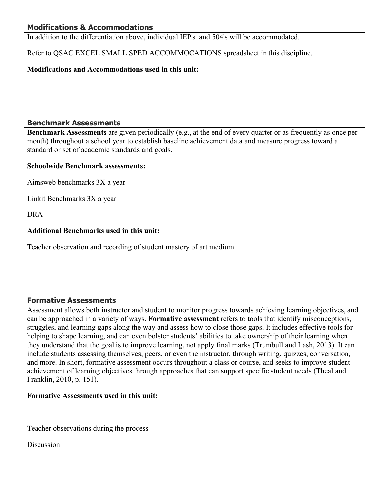# **Modifications & Accommodations**

In addition to the differentiation above, individual IEP's and 504's will be accommodated.

Refer to QSAC EXCEL SMALL SPED ACCOMMOCATIONS spreadsheet in this discipline.

# **Modifications and Accommodations used in this unit:**

# **Benchmark Assessments**

**Benchmark Assessments** are given periodically (e.g., at the end of every quarter or as frequently as once per month) throughout a school year to establish baseline achievement data and measure progress toward a standard or set of academic standards and goals.

### **Schoolwide Benchmark assessments:**

Aimsweb benchmarks 3X a year

Linkit Benchmarks 3X a year

DRA

# **Additional Benchmarks used in this unit:**

Teacher observation and recording of student mastery of art medium.

# **Formative Assessments**

Assessment allows both instructor and student to monitor progress towards achieving learning objectives, and can be approached in a variety of ways. **Formative assessment** refers to tools that identify misconceptions, struggles, and learning gaps along the way and assess how to close those gaps. It includes effective tools for helping to shape learning, and can even bolster students' abilities to take ownership of their learning when they understand that the goal is to improve learning, not apply final marks (Trumbull and Lash, 2013). It can include students assessing themselves, peers, or even the instructor, through writing, quizzes, conversation, and more. In short, formative assessment occurs throughout a class or course, and seeks to improve student achievement of learning objectives through approaches that can support specific student needs (Theal and Franklin, 2010, p. 151).

### **Formative Assessments used in this unit:**

Teacher observations during the process

Discussion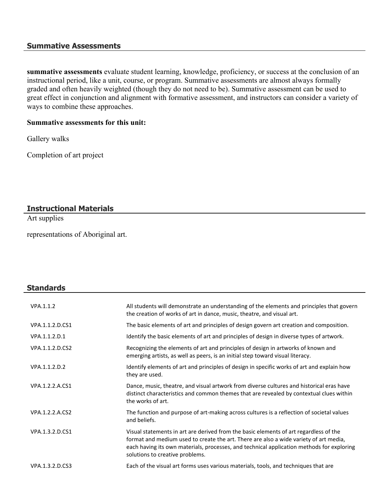#### **Summative Assessments**

**summative assessments** evaluate student learning, knowledge, proficiency, or success at the conclusion of an instructional period, like a unit, course, or program. Summative assessments are almost always formally graded and often heavily weighted (though they do not need to be). Summative assessment can be used to great effect in conjunction and alignment with formative assessment, and instructors can consider a variety of ways to combine these approaches.

#### **Summative assessments for this unit:**

Gallery walks

Completion of art project

# **Instructional Materials**

Art supplies

**Standards**

representations of Aboriginal art.

# VPA.1.1.2 All students will demonstrate an understanding of the elements and principles that govern the creation of works of art in dance, music, theatre, and visual art. VPA.1.1.2.D.CS1 The basic elements of art and principles of design govern art creation and composition. VPA.1.1.2.D.1 Identify the basic elements of art and principles of design in diverse types of artwork. VPA.1.1.2.D.CS2 Recognizing the elements of art and principles of design in artworks of known and emerging artists, as well as peers, is an initial step toward visual literacy. VPA.1.1.2.D.2 Identify elements of art and principles of design in specific works of art and explain how they are used. VPA.1.2.2.A.CS1 Dance, music, theatre, and visual artwork from diverse cultures and historical eras have distinct characteristics and common themes that are revealed by contextual clues within the works of art. VPA.1.2.2.A.CS2 The function and purpose of art-making across cultures is a reflection of societal values and beliefs. VPA.1.3.2.D.CS1 Visual statements in art are derived from the basic elements of art regardless of the format and medium used to create the art. There are also a wide variety of art media, each having its own materials, processes, and technical application methods for exploring solutions to creative problems. VPA.1.3.2.D.CS3 Each of the visual art forms uses various materials, tools, and techniques that are